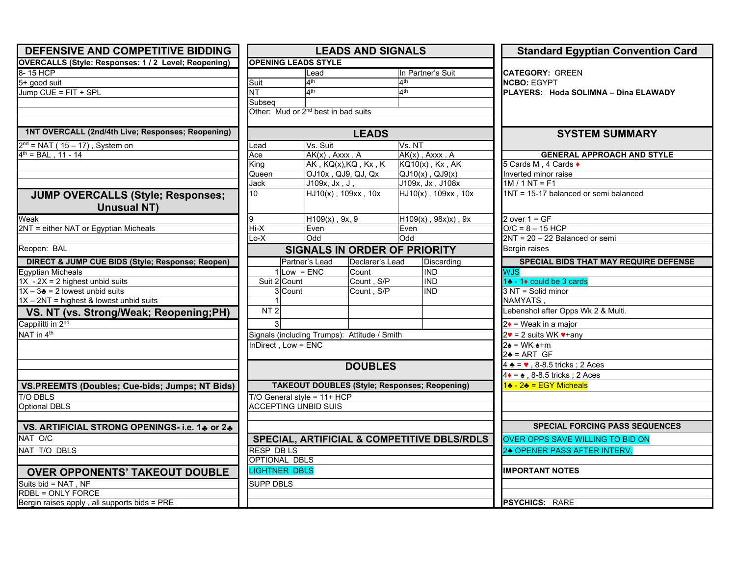| DEFENSIVE AND COMPETITIVE BIDDING                    | <b>LEADS AND SIGNALS</b>    |                                                      |                                                        | <b>Standard Egyptian Convention Card</b>                     |
|------------------------------------------------------|-----------------------------|------------------------------------------------------|--------------------------------------------------------|--------------------------------------------------------------|
| OVERCALLS (Style: Responses: 1 / 2 Level; Reopening) | <b>OPENING LEADS STYLE</b>  |                                                      |                                                        |                                                              |
| 8-15 HCP                                             |                             | Lead                                                 | In Partner's Suit                                      | <b>CATEGORY: GREEN</b>                                       |
| 5+ good suit                                         | Suit                        | 4 <sup>th</sup>                                      | 4 <sup>th</sup>                                        | <b>NCBO: EGYPT</b>                                           |
| Jump CUE = FIT + SPL                                 | <b>NT</b>                   | 4 <sup>th</sup>                                      | $\mathbf{A}^{\text{th}}$                               | PLAYERS: Hoda SOLIMNA - Dina ELAWADY                         |
|                                                      | Subseq                      |                                                      |                                                        |                                                              |
|                                                      |                             | Other: Mud or 2 <sup>nd</sup> best in bad suits      |                                                        |                                                              |
|                                                      |                             |                                                      |                                                        |                                                              |
| 1NT OVERCALL (2nd/4th Live; Responses; Reopening)    |                             | <b>LEADS</b>                                         |                                                        | <b>SYSTEM SUMMARY</b>                                        |
| $2nd$ = NAT (15 – 17), System on                     | Lead                        | Vs. Suit                                             | Vs. NT                                                 |                                                              |
| $4^{th}$ = BAL, 11 - 14                              | Ace                         | $AK(x)$ , $Axxx$ . A                                 | $AK(x)$ , $Axxx$ . A                                   | <b>GENERAL APPROACH AND STYLE</b>                            |
|                                                      | Kina                        | $AK$ , $KQ(x)$ , $KQ$ , $Kx$ , $K$                   | KQ10(x), Kx, AK                                        | 5 Cards M, 4 Cards ♦                                         |
|                                                      | Queen                       | OJ10x, QJ9, QJ, Qx                                   | $QJ10(x)$ , $QJ9(x)$                                   | Inverted minor raise                                         |
|                                                      | Jack                        | J109x, Jx, J,                                        | J109x, Jx, J108x                                       | $1M / 1NT = F1$                                              |
| <b>JUMP OVERCALLS (Style; Responses;</b>             | 10                          | $HJ10(x)$ , 109xx, 10x                               | HJ10(x), 109xx, 10x                                    | 1NT = 15-17 balanced or semi balanced                        |
| <b>Unusual NT)</b>                                   |                             |                                                      |                                                        |                                                              |
| Weak                                                 | g                           | $H109(x)$ , 9x, 9                                    | $H109(x)$ , $98x)x$ ), $9x$                            | 2 over $1 = GF$                                              |
| 2NT = either NAT or Egyptian Micheals                | $Hi-X$                      | Even                                                 | Even                                                   | $O/C = 8 - 15 HCP$                                           |
|                                                      | Lo-X                        | Odd<br><b>SIGNALS IN ORDER OF PRIORITY</b>           | Odd                                                    | $2NT = 20 - 22$ Balanced or semi                             |
| Reopen: BAL                                          |                             | Bergin raises                                        |                                                        |                                                              |
| DIRECT & JUMP CUE BIDS (Style; Response; Reopen)     |                             | Partner's Lead<br>Declarer's Lead                    | Discarding                                             | SPECIAL BIDS THAT MAY REQUIRE DEFENSE                        |
| <b>Egyptian Micheals</b>                             |                             | $Low = ENC$<br>Count                                 | <b>IND</b>                                             | <b>WJS</b>                                                   |
| $1X - 2X = 2$ highest unbid suits                    | Suit 2 Count                | Count, S/P                                           | <b>IND</b>                                             | 1♣ - 1♦ could be 3 cards                                     |
| $1X - 3$ = 2 lowest unbid suits                      | 3 Count                     | Count, S/P                                           | <b>IND</b>                                             | 3 NT = Solid minor                                           |
| 1X - 2NT = highest & lowest unbid suits              |                             |                                                      |                                                        | <b>NAMYATS</b>                                               |
| VS. NT (vs. Strong/Weak; Reopening;PH)               | NT <sub>2</sub>             |                                                      |                                                        | Lebenshol after Opps Wk 2 & Multi.                           |
| Cappilitti in 2nd                                    |                             |                                                      |                                                        | $2\bullet$ = Weak in a major                                 |
| NAT in 4 <sup>th</sup>                               |                             | Signals (including Trumps): Attitude / Smith         |                                                        | $2\bullet$ = 2 suits WK $\bullet$ +any                       |
|                                                      | InDirect, Low = ENC         |                                                      |                                                        | $2\cdot = WK + m$                                            |
|                                                      |                             |                                                      |                                                        | $2\clubsuit = ARTGF$                                         |
|                                                      |                             | <b>DOUBLES</b>                                       |                                                        | $4 \triangleq$ = $\blacktriangledown$ , 8-8.5 tricks; 2 Aces |
|                                                      |                             |                                                      |                                                        | $4 \cdot = \cdot$ , 8-8.5 tricks; 2 Aces                     |
| VS.PREEMTS (Doubles; Cue-bids; Jumps; NT Bids)       |                             | <b>TAKEOUT DOUBLES (Style; Responses; Reopening)</b> |                                                        | 1♣ - 2♣ = EGY Micheals                                       |
| <b>T/O DBLS</b>                                      |                             | $T/O$ General style = 11+ HCP                        |                                                        |                                                              |
| <b>Optional DBLS</b>                                 | <b>ACCEPTING UNBID SUIS</b> |                                                      |                                                        |                                                              |
|                                                      |                             |                                                      |                                                        |                                                              |
| VS. ARTIFICIAL STRONG OPENINGS- i.e. 14 or 24        |                             |                                                      |                                                        | <b>SPECIAL FORCING PASS SEQUENCES</b>                        |
| NAT O/C                                              |                             |                                                      | <b>SPECIAL, ARTIFICIAL &amp; COMPETITIVE DBLS/RDLS</b> | OVER OPPS SAVE WILLING TO BID ON                             |
| NAT T/O DBLS                                         | <b>RESP DBLS</b>            |                                                      |                                                        | 24 OPENER PASS AFTER INTERV.                                 |
|                                                      | OPTIONAL DBLS               |                                                      |                                                        |                                                              |
| <b>OVER OPPONENTS' TAKEOUT DOUBLE</b>                | <b>LIGHTNER DBLS</b>        |                                                      |                                                        | <b>IMPORTANT NOTES</b>                                       |
| Suits bid = NAT, NF                                  | <b>SUPP DBLS</b>            |                                                      |                                                        |                                                              |
| <b>RDBL = ONLY FORCE</b>                             |                             |                                                      |                                                        |                                                              |
| Bergin raises apply, all supports bids = PRE         |                             |                                                      |                                                        | <b>PSYCHICS: RARE</b>                                        |